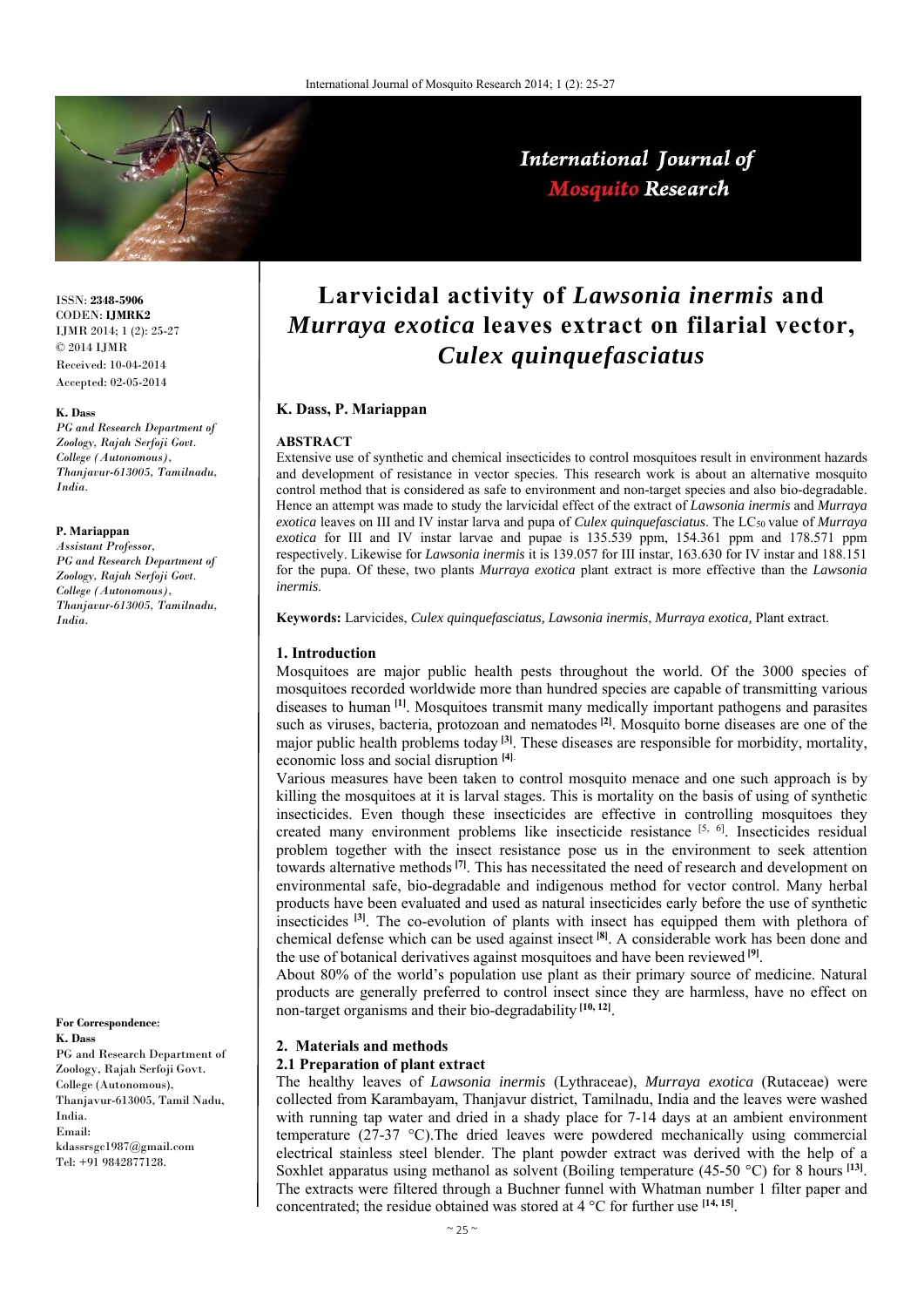

International Journal of **Mosquito Research** 

ISSN: **2348-5906** CODEN: **IJMRK2** IJMR 2014; 1 (2): 25-27 © 2014 IJMR Received: 10-04-2014 Accepted: 02-05-2014

#### **K. Dass**

*PG and Research Department of Zoology, Rajah Serfoji Govt. College (Autonomous), Thanjavur-613005, Tamilnadu, India.* 

#### **P. Mariappan**

*Assistant Professor, PG and Research Department of Zoology, Rajah Serfoji Govt. College (Autonomous), Thanjavur-613005, Tamilnadu, India.* 

**For Correspondence**:

**K. Dass**  PG and Research Department of Zoology, Rajah Serfoji Govt. College (Autonomous), Thanjavur-613005, Tamil Nadu, India. Email: kdassrsgc1987@gmail.com Tel: +91 9842877128.

# **Larvicidal activity of** *Lawsonia inermis* **and**  *Murraya exotica* **leaves extract on filarial vector,**  *Culex quinquefasciatus*

## **K. Dass, P. Mariappan**

## **ABSTRACT**

Extensive use of synthetic and chemical insecticides to control mosquitoes result in environment hazards and development of resistance in vector species. This research work is about an alternative mosquito control method that is considered as safe to environment and non-target species and also bio-degradable. Hence an attempt was made to study the larvicidal effect of the extract of *Lawsonia inermis* and *Murraya exotica* leaves on III and IV instar larva and pupa of *Culex quinquefasciatus*. The LC50 value of *Murraya exotica* for III and IV instar larvae and pupae is 135.539 ppm, 154.361 ppm and 178.571 ppm respectively. Likewise for *Lawsonia inermis* it is 139.057 for III instar, 163.630 for IV instar and 188.151 for the pupa. Of these, two plants *Murraya exotica* plant extract is more effective than the *Lawsonia inermis*.

**Keywords:** Larvicides, *Culex quinquefasciatus, Lawsonia inermis*, *Murraya exotica,* Plant extract.

## **1. Introduction**

Mosquitoes are major public health pests throughout the world. Of the 3000 species of mosquitoes recorded worldwide more than hundred species are capable of transmitting various diseases to human **[1]**. Mosquitoes transmit many medically important pathogens and parasites such as viruses, bacteria, protozoan and nematodes **[2]**. Mosquito borne diseases are one of the major public health problems today **[3]**. These diseases are responsible for morbidity, mortality, economic loss and social disruption **[4]**.

Various measures have been taken to control mosquito menace and one such approach is by killing the mosquitoes at it is larval stages. This is mortality on the basis of using of synthetic insecticides. Even though these insecticides are effective in controlling mosquitoes they created many environment problems like insecticide resistance  $[5, 6]$ . Insecticides residual problem together with the insect resistance pose us in the environment to seek attention towards alternative methods**[7]**. This has necessitated the need of research and development on environmental safe, bio-degradable and indigenous method for vector control. Many herbal products have been evaluated and used as natural insecticides early before the use of synthetic insecticides **[3]**. The co-evolution of plants with insect has equipped them with plethora of chemical defense which can be used against insect **[8]**. A considerable work has been done and the use of botanical derivatives against mosquitoes and have been reviewed **[9]**.

About 80% of the world's population use plant as their primary source of medicine. Natural products are generally preferred to control insect since they are harmless, have no effect on non-target organisms and their bio-degradability **[10, 12]**.

# **2. Materials and methods**

# **2.1 Preparation of plant extract**

The healthy leaves of *Lawsonia inermis* (Lythraceae), *Murraya exotica* (Rutaceae) were collected from Karambayam, Thanjavur district, Tamilnadu, India and the leaves were washed with running tap water and dried in a shady place for 7-14 days at an ambient environment temperature (27-37 °C).The dried leaves were powdered mechanically using commercial electrical stainless steel blender. The plant powder extract was derived with the help of a Soxhlet apparatus using methanol as solvent (Boiling temperature (45-50 °C) for 8 hours **[13]**. The extracts were filtered through a Buchner funnel with Whatman number 1 filter paper and concentrated; the residue obtained was stored at 4 °C for further use **[14, 15]**.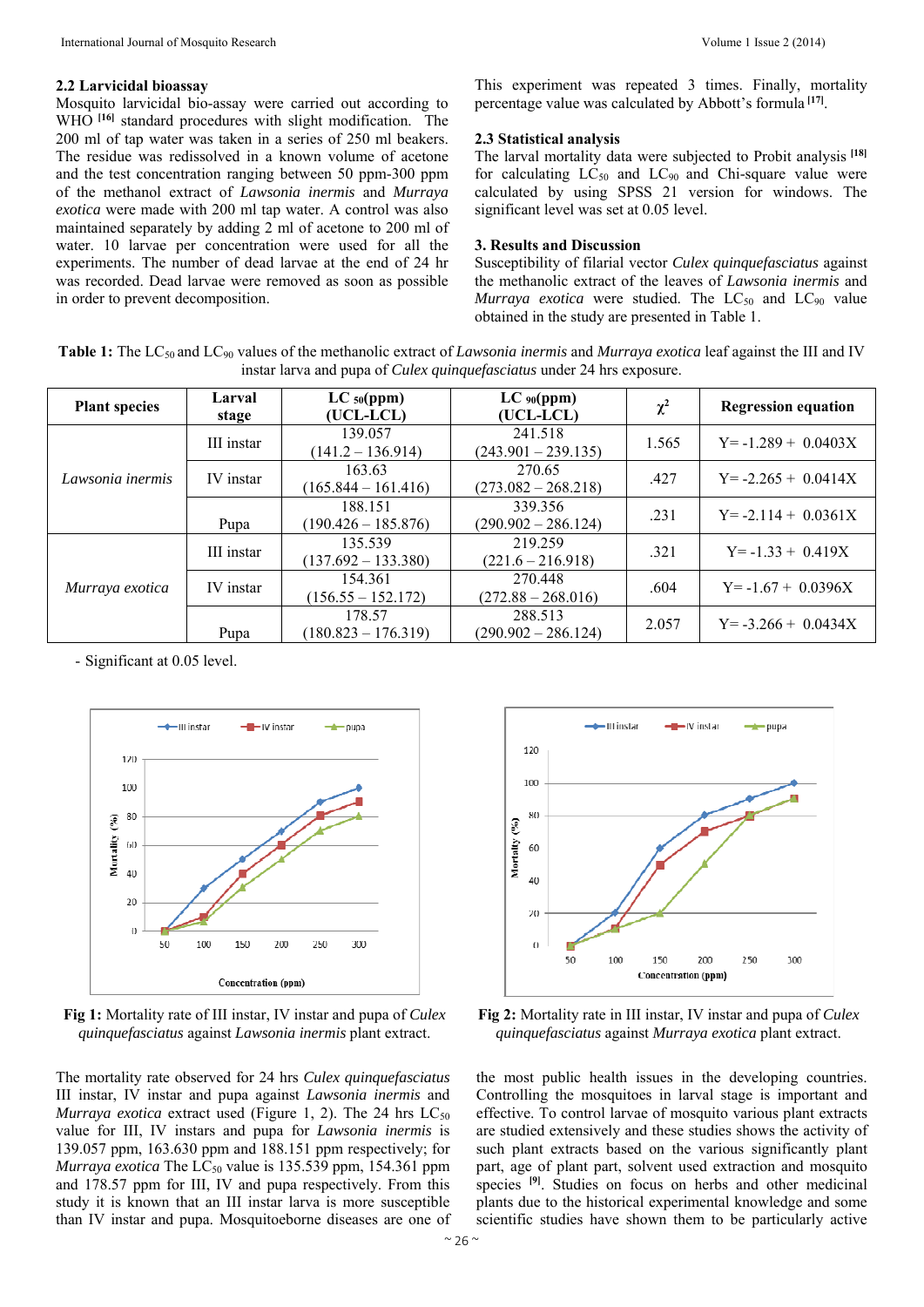#### **2.2 Larvicidal bioassay**

Mosquito larvicidal bio-assay were carried out according to WHO **[16]** standard procedures with slight modification. The 200 ml of tap water was taken in a series of 250 ml beakers. The residue was redissolved in a known volume of acetone and the test concentration ranging between 50 ppm-300 ppm of the methanol extract of *Lawsonia inermis* and *Murraya exotica* were made with 200 ml tap water. A control was also maintained separately by adding 2 ml of acetone to 200 ml of water. 10 larvae per concentration were used for all the experiments. The number of dead larvae at the end of 24 hr was recorded. Dead larvae were removed as soon as possible in order to prevent decomposition.

This experiment was repeated 3 times. Finally, mortality percentage value was calculated by Abbott's formula **[17]**.

#### **2.3 Statistical analysis**

The larval mortality data were subjected to Probit analysis **[18]** for calculating  $LC_{50}$  and  $LC_{90}$  and Chi-square value were calculated by using SPSS 21 version for windows. The significant level was set at 0.05 level.

## **3. Results and Discussion**

Susceptibility of filarial vector *Culex quinquefasciatus* against the methanolic extract of the leaves of *Lawsonia inermis* and *Murraya exotica* were studied. The  $LC_{50}$  and  $LC_{90}$  value obtained in the study are presented in Table 1.

**Table 1:** The LC50 and LC90 values of the methanolic extract of *Lawsonia inermis* and *Murraya exotica* leaf against the III and IV instar larva and pupa of *Culex quinquefasciatus* under 24 hrs exposure.

| <b>Plant species</b> | Larval<br>stage | $LC_{50}(ppm)$<br>(UCL-LCL)      | $LC_{90}(ppm)$<br>(UCL-LCL)      | $\chi^2$ | <b>Regression equation</b> |
|----------------------|-----------------|----------------------------------|----------------------------------|----------|----------------------------|
| Lawsonia inermis     | III instar      | 139.057<br>$(141.2 - 136.914)$   | 241.518<br>$(243.901 - 239.135)$ | 1.565    | $Y = -1.289 + 0.0403X$     |
|                      | IV instar       | 163.63<br>$(165.844 - 161.416)$  | 270.65<br>$(273.082 - 268.218)$  | .427     | $Y = -2.265 + 0.0414X$     |
|                      | Pupa            | 188.151<br>$(190.426 - 185.876)$ | 339.356<br>$(290.902 - 286.124)$ | .231     | $Y = -2.114 + 0.0361X$     |
| Murraya exotica      | III instar      | 135.539<br>$(137.692 - 133.380)$ | 219.259<br>$(221.6 - 216.918)$   | .321     | $Y = -1.33 + 0.419X$       |
|                      | IV instar       | 154.361<br>$(156.55 - 152.172)$  | 270.448<br>$(272.88 - 268.016)$  | .604     | $Y = -1.67 + 0.0396X$      |
|                      | Pupa            | 178.57<br>$(180.823 - 176.319)$  | 288.513<br>$(290.902 - 286.124)$ | 2.057    | $Y = -3.266 + 0.0434X$     |

- Significant at 0.05 level.



**Fig 1:** Mortality rate of III instar, IV instar and pupa of *Culex quinquefasciatus* against *Lawsonia inermis* plant extract.

The mortality rate observed for 24 hrs *Culex quinquefasciatus* III instar, IV instar and pupa against *Lawsonia inermis* and *Murraya exotica* extract used (Figure 1, 2). The 24 hrs  $LC_{50}$ value for III, IV instars and pupa for *Lawsonia inermis* is 139.057 ppm, 163.630 ppm and 188.151 ppm respectively; for *Murraya exotica* The  $LC_{50}$  value is 135.539 ppm, 154.361 ppm and 178.57 ppm for III, IV and pupa respectively. From this study it is known that an III instar larva is more susceptible than IV instar and pupa. Mosquitoeborne diseases are one of



**Fig 2:** Mortality rate in III instar, IV instar and pupa of *Culex quinquefasciatus* against *Murraya exotica* plant extract.

the most public health issues in the developing countries. Controlling the mosquitoes in larval stage is important and effective. To control larvae of mosquito various plant extracts are studied extensively and these studies shows the activity of such plant extracts based on the various significantly plant part, age of plant part, solvent used extraction and mosquito species **[9]**. Studies on focus on herbs and other medicinal plants due to the historical experimental knowledge and some scientific studies have shown them to be particularly active